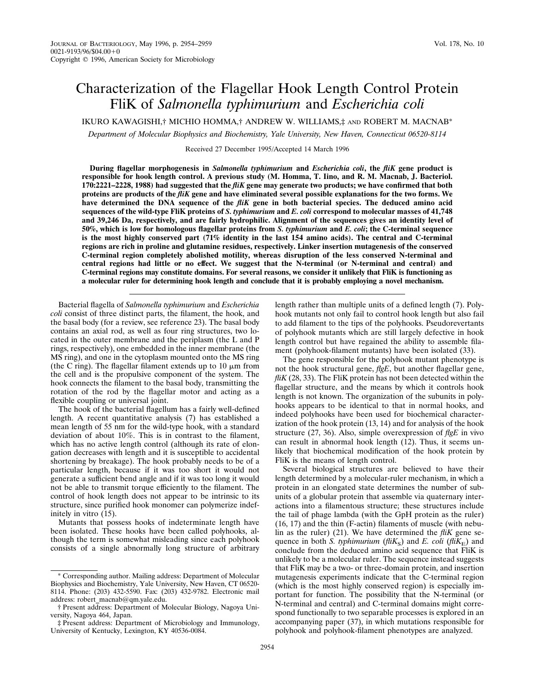# Characterization of the Flagellar Hook Length Control Protein FliK of *Salmonella typhimurium* and *Escherichia coli*

IKURO KAWAGISHI,† MICHIO HOMMA,† ANDREW W. WILLIAMS,‡ AND ROBERT M. MACNAB\*

*Department of Molecular Biophysics and Biochemistry, Yale University, New Haven, Connecticut 06520-8114*

Received 27 December 1995/Accepted 14 March 1996

**During flagellar morphogenesis in** *Salmonella typhimurium* **and** *Escherichia coli***, the** *fliK* **gene product is responsible for hook length control. A previous study (M. Homma, T. Iino, and R. M. Macnab, J. Bacteriol. 170:2221–2228, 1988) had suggested that the** *fliK* **gene may generate two products; we have confirmed that both proteins are products of the** *fliK* **gene and have eliminated several possible explanations for the two forms. We have determined the DNA sequence of the** *fliK* **gene in both bacterial species. The deduced amino acid sequences of the wild-type FliK proteins of** *S. typhimurium* **and** *E. coli* **correspond to molecular masses of 41,748 and 39,246 Da, respectively, and are fairly hydrophilic. Alignment of the sequences gives an identity level of 50%, which is low for homologous flagellar proteins from** *S. typhimurium* **and** *E. coli***; the C-terminal sequence is the most highly conserved part (71% identity in the last 154 amino acids). The central and C-terminal regions are rich in proline and glutamine residues, respectively. Linker insertion mutagenesis of the conserved C-terminal region completely abolished motility, whereas disruption of the less conserved N-terminal and central regions had little or no effect. We suggest that the N-terminal (or N-terminal and central) and C-terminal regions may constitute domains. For several reasons, we consider it unlikely that FliK is functioning as a molecular ruler for determining hook length and conclude that it is probably employing a novel mechanism.**

Bacterial flagella of *Salmonella typhimurium* and *Escherichia coli* consist of three distinct parts, the filament, the hook, and the basal body (for a review, see reference 23). The basal body contains an axial rod, as well as four ring structures, two located in the outer membrane and the periplasm (the L and P rings, respectively), one embedded in the inner membrane (the MS ring), and one in the cytoplasm mounted onto the MS ring (the C ring). The flagellar filament extends up to 10  $\mu$ m from the cell and is the propulsive component of the system. The hook connects the filament to the basal body, transmitting the rotation of the rod by the flagellar motor and acting as a flexible coupling or universal joint.

The hook of the bacterial flagellum has a fairly well-defined length. A recent quantitative analysis (7) has established a mean length of 55 nm for the wild-type hook, with a standard deviation of about 10%. This is in contrast to the filament, which has no active length control (although its rate of elongation decreases with length and it is susceptible to accidental shortening by breakage). The hook probably needs to be of a particular length, because if it was too short it would not generate a sufficient bend angle and if it was too long it would not be able to transmit torque efficiently to the filament. The control of hook length does not appear to be intrinsic to its structure, since purified hook monomer can polymerize indefinitely in vitro (15).

Mutants that possess hooks of indeterminate length have been isolated. These hooks have been called polyhooks, although the term is somewhat misleading since each polyhook consists of a single abnormally long structure of arbitrary

length rather than multiple units of a defined length (7). Polyhook mutants not only fail to control hook length but also fail to add filament to the tips of the polyhooks. Pseudorevertants of polyhook mutants which are still largely defective in hook length control but have regained the ability to assemble filament (polyhook-filament mutants) have been isolated (33).

The gene responsible for the polyhook mutant phenotype is not the hook structural gene, *flgE*, but another flagellar gene, *fliK* (28, 33). The FliK protein has not been detected within the flagellar structure, and the means by which it controls hook length is not known. The organization of the subunits in polyhooks appears to be identical to that in normal hooks, and indeed polyhooks have been used for biochemical characterization of the hook protein (13, 14) and for analysis of the hook structure (27, 36). Also, simple overexpression of *flgE* in vivo can result in abnormal hook length (12). Thus, it seems unlikely that biochemical modification of the hook protein by FliK is the means of length control.

Several biological structures are believed to have their length determined by a molecular-ruler mechanism, in which a protein in an elongated state determines the number of subunits of a globular protein that assemble via quaternary interactions into a filamentous structure; these structures include the tail of phage lambda (with the GpH protein as the ruler) (16, 17) and the thin (F-actin) filaments of muscle (with nebulin as the ruler) (21). We have determined the *fliK* gene sequence in both *S. typhimurium* ( $\text{fli}K_{\text{S}}$ ) and *E. coli* ( $\text{fli}K_{\text{E}}$ ) and conclude from the deduced amino acid sequence that FliK is unlikely to be a molecular ruler. The sequence instead suggests that FliK may be a two- or three-domain protein, and insertion mutagenesis experiments indicate that the C-terminal region (which is the most highly conserved region) is especially important for function. The possibility that the N-terminal (or N-terminal and central) and C-terminal domains might correspond functionally to two separable processes is explored in an accompanying paper (37), in which mutations responsible for polyhook and polyhook-filament phenotypes are analyzed.

<sup>\*</sup> Corresponding author. Mailing address: Department of Molecular Biophysics and Biochemistry, Yale University, New Haven, CT 06520- 8114. Phone: (203) 432-5590. Fax: (203) 432-9782. Electronic mail address: robert\_macnab@qm.yale.edu.

<sup>†</sup> Present address: Department of Molecular Biology, Nagoya University, Nagoya 464, Japan.

<sup>‡</sup> Present address: Department of Microbiology and Immunology, University of Kentucky, Lexington, KY 40536-0084.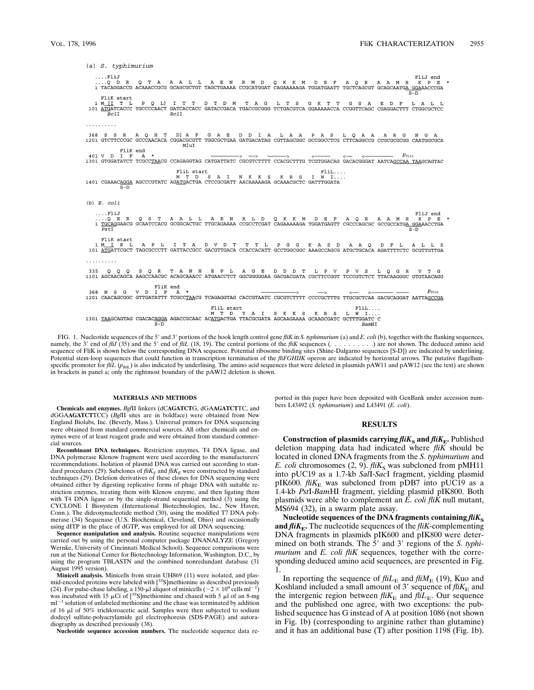(a)  $S.$  typhimurium .... $\begin{bmatrix} \text{P1iJ} \\ \text{O} & \text{D} \end{bmatrix}$  $\begin{array}{cc}\n\texttt{Flik end} \\
\texttt{I} & \texttt{F} & \texttt{A}\n\end{array}$  $\begin{array}{ccccccccc} 401 & V & L & H1K & \text{end} & \text{H1K} & \text{H2K} & \text{H3K} & \text{H4K} & \text{H5K} & \text{H5K} & \text{H6K} & \text{H7K} & \text{H8K} & \text{H8K} & \text{H8K} & \text{H8K} & \text{H8K} & \text{H8K} & \text{H8K} & \text{H8K} & \text{H8K} & \text{H8K} & \text{H8K} & \text{H8K} & \text{H8K} & \text{H8K} & \text{H8K} & \text{H8K} &$ ...FliL start<br>...T D S A I N K K S K R S I W I<br>1401 CGAAAC<u>AGGA</u> AGCCCGTATC AG<u>ATG</u>ACTGA CTCCGCGATT AACAAAAAGA GCAAACGCTC GATTTGGATA  $F1iL...$  $(b) E. coli$ ...FliJ<br>...Q E R Q S T A A L L A E N R L D Q K K M D E F A Q R A A M R K P E<br>1 TGCAGGAACG GCAATCCACG GCGGCACTGC TTGCAGAAAA CCGCCTCGAT CAGAAAAAGA TGGATGAGTT CGCCCAGCGC GCCGCCATG<u>A GGA</u>AACCTGA<br>FatI Flik start<br>1 M\_I R L A P L I T A D V D T T T L P G G K A S D A A Q D F L A L L S<br>101 <u>ATG</u>ATTCGCT TAGCGCCCTT GATTACCGCC GACGTTGACA CCACCACATT GCCTGGCGGC AAAGCCAGCG ATGCTGCACA AGATTTTCTC GCGTTGTTGA . . . . . . . . . . 335 Q Q Q S Q R T A N H E P L A G E D D D T L P V P V S L Q G R V T G 101 AGCAACAGCA AAGCCAACGC ACAGCAAACC ATGAACCTCT GGCGGGGGAA GACGACGATA CGCTTCCGGT TCCCGTCTCT TTACAAGGGC GTGTAACAGG  $\begin{array}{ccccccccc} & & & & & \text{Plik end} & & & & \\ 368 &\text{N} & \text{S} & \text{G} & \text{V} & \text{D} & \text{I} & \text{F} & \text{A} & \star & & & \\ 1201 & \text{CAACAGGGGC GTTATTT TCGCCTAACG TCGACGGTAGTAG CACCGTTTT CCCCGCTTTG TTGCGCTCAA GACGCAGGAT AATTRGCCGA$ TRIL SEAT MARINE CONSIDER THE SEAL FOR THE SEAL FOR THE SEAL FOR THE SEAL FOR THE SEAL FOR THE SEAL FOR THE SAMPLE TO THE SAMPLE THE SAMPLE OF SHELL.....<br>HILL SEAL MARINE TO Y A I S K K S K R S L WILL ...<br>TANGCAGTAG CGACAC

FIG. 1. Nucleotide sequences of the 5' and 3' portions of the hook length control gene *fliK* in *S. typhimurium* (a) and *E. coli* (b), together with the flanking sequences, namely, the 39 end of *fliJ* (35) and the 59 end of *fliL* (18, 19). The central portions of the *fliK* sequences (. . . . . . . . . .) are not shown. The deduced amino acid sequence of FliK is shown below the corresponding DNA sequence. Potential ribosome binding sites (Shine-Dalgarno sequences [S-D]) are indicated by underlining. Potential stem-loop sequences that could function in transcription termination of the *fliFGHIJK* operon are indicated by horizontal arrows. The putative flagellumspecific promoter for *fliL* ( $p_{\text{fill}}$ ) is also indicated by underlining. The amino acid sequences that were deleted in plasmids pAW11 and pAW12 (see the text) are shown in brackets in panel a; only the rightmost boundary of the pAW12 deletion is shown.

### **MATERIALS AND METHODS**

**Chemicals and enzymes.** *Bgl*II linkers (dC**AGATCT**G, dGA**AGATCT**TC, and dGGA**AGATCT**TCC) (*Bgl*II sites are in boldface) were obtained from New England Biolabs, Inc. (Beverly, Mass.). Universal primers for DNA sequencing were obtained from standard commercial sources. All other chemicals and enzymes were of at least reagent grade and were obtained from standard commercial sources.

**Recombinant DNA techniques.** Restriction enzymes, T4 DNA ligase, and DNA polymerase Klenow fragment were used according to the manufacturers' recommendations. Isolation of plasmid DNA was carried out according to standard procedures (29). Subclones of  $fliK_S$  and  $fliK_E$  were constructed by standard techniques (29). Deletion derivatives of these clones for DNA sequencing were obtained either by digesting replicative forms of phage DNA with suitable restriction enzymes, treating them with Klenow enzyme, and then ligating them with T4 DNA ligase or by the single-strand sequential method  $(3)$  using the CYCLONE I Biosystem (International Biotechnologies, Inc., New Haven, Conn.). The dideoxynucleotide method (30), using the modified T7 DNA polymerase (34) Sequenase (U.S. Biochemical, Cleveland, Ohio) and occasionally using dITP in the place of dGTP, was employed for all DNA sequencing.

**Sequence manipulation and analysis.** Routine sequence manipulations were carried out by using the personal computer package DNANALYZE (Gregory Wernke, University of Cincinnati Medical School). Sequence comparisons were run at the National Center for Biotechnology Information, Washington, D.C., by using the program TBLASTN and the combined nonredundant database (31 August 1995 version).

**Minicell analysis.** Minicells from strain UH869 (11) were isolated, and plas-<br>mid-encoded proteins were labeled with [<sup>35</sup>S]methionine as described previously (24). For pulse-chase labeling, a 150-µl aliquot of minicells ( $\sim$ 2  $\times$  10<sup>9</sup> cells ml<sup>-1</sup>) was incubated with 15 µCi of [<sup>35</sup>S]methionine and chased with 5 µl of an 8-mg  $ml^{-1}$  solution of unlabeled methionine and the chase was terminated by addition of 16 ml of 50% trichloroacetic acid. Samples were then subjected to sodium dodecyl sulfate-polyacrylamide gel electrophoresis (SDS-PAGE) and autoradiography as described previously (38).

**Nucleotide sequence accession numbers.** The nucleotide sequence data re-

ported in this paper have been deposited with GenBank under accession numbers L43492 (*S. typhimurium*) and L43491 (*E. coli*).

## **RESULTS**

**Construction of plasmids carrying**  $f$ **ii** $K_S$  and  $f$ ii $K_E$ . Published deletion mapping data had indicated where *fliK* should be located in cloned DNA fragments from the *S. typhimurium* and *E. coli* chromosomes (2, 9). *fliK*<sub>S</sub> was subcloned from pMH11 into pUC19 as a 1.7-kb *Sal*I-*Sac*I fragment, yielding plasmid pIK600.  $f\text{li}K_E$  was subcloned from pDB7 into pUC19 as a 1.4-kb *Pst*I-*Bam*HI fragment, yielding plasmid pIK800. Both plasmids were able to complement an *E. coli fliK* null mutant, MS694 (32), in a swarm plate assay.

Nucleotide sequences of the DNA fragments containing  $f\mathbf{d}K_{\mathbf{S}}$ and  $f\mathbf{d}iK_{\mathbf{E}}$ . The nucleotide sequences of the  $f\mathbf{d}iK$ -complementing DNA fragments in plasmids pIK600 and pIK800 were determined on both strands. The 5' and 3' regions of the *S. typhimurium* and *E. coli fliK* sequences, together with the corresponding deduced amino acid sequences, are presented in Fig. 1.

In reporting the sequence of  $\text{fil}L_{\text{E}}$  and  $\text{fil}M_{\text{E}}$  (19), Kuo and Koshland included a small amount of 3' sequence of  $f\ddot{i}K_E$  and the intergenic region between  $fliK<sub>E</sub>$  and  $fliL<sub>E</sub>$ . Our sequence and the published one agree, with two exceptions: the published sequence has G instead of A at position 1086 (not shown in Fig. 1b) (corresponding to arginine rather than glutamine) and it has an additional base (T) after position 1198 (Fig. 1b).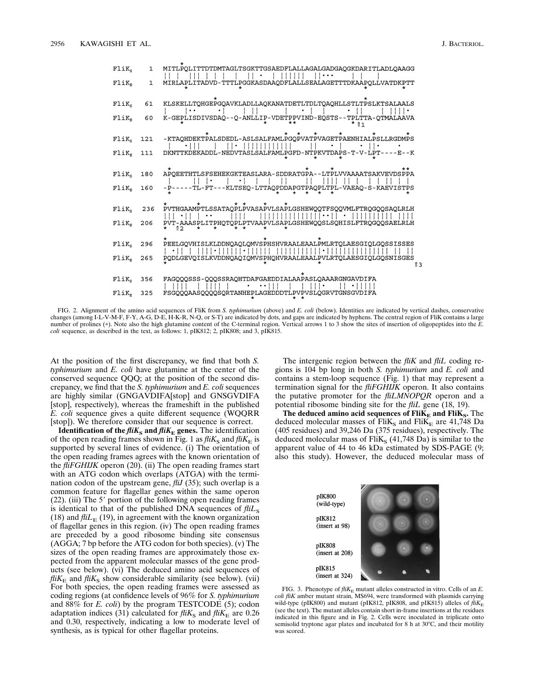| Flik <sub>c</sub> | $\mathbf{1}$ | MITLPOLITTDTDMTAGLTSGKTTGSAEDFLALLAGALGADGAQGKDARITLADLQAAGG                         |
|-------------------|--------------|--------------------------------------------------------------------------------------|
| Flik <sub>R</sub> | $\mathbf{1}$ | MIRLAPLITADVD-TTTLPGGKASDAAQDFLALLSEALAGETTTDKAAPOLLVATDKPTT                         |
| $F1ik_s$          | 61           | KLSKELLTOHGEPGQAVKLADLLAQKANATDETLTDLTQAQHLLSTLTPSLKTSALAALS                         |
| $F1iK_{R}$        | 60           | K-GEPLISDIVSDAQ--Q-ANLLIP-VDETPPVIND-EQSTS--TPLTTA-QTMALAAVA                         |
| $F1iK_s$          | 121          | -KTAOHDEKTPALSDEDL-ASLSALFAMLPGOPVATPVAGETPAENHIALPSLLRGDMPS                         |
| Flik <sub>R</sub> | 111          | FAMLPGFD-NTPKVTDAPS-T-V-LPT----E--K<br>DKNTTKDEKADDL-NEDVTA                          |
| Flik <sub>s</sub> | 180          | **<br>APOEETHTLSFSEHEKGKTEASLARA-SDDRATGPA-<br>LTPLVVAAAATSAKVEVDSPPA                |
| $FLiK_R$          | 160          | -P-----TL-FT---KLTSEQ-LTTAQPDDAPGTPAQPLTPL-VAEAQ-S-KAEVISTPS                         |
| $FLiK_s$          | 236          | PVTHGAAMPTLSSATAOPLPVASAPVLSAPLGSHEWOOTFSOOVMLFTROGOOSAOLRLH                         |
| FLiK <sub>E</sub> | 206          | PVLSAPLGSHEWQQSLSQHISLFTROGQQSAELRLH<br>-AAASPLITPHOTO<br>PLPTVAA<br>↑2<br>*<br>*    |
| $F1iK_s$          | 296          | PEELGQVHISLKLDDNQAQLQMVSPHSHVRAALEAALPMLRTQLAESGIQLGQSSISSES                         |
| $FLiK_{R}$        | 265          | PODLGEVOISLKVDDNOAOIOMVSPHOHVRAALEAALPVLRTOLAESGIOLGOSNISGES<br>$\hat{\mathbb{I}}$ 3 |
| FliK <sub>c</sub> | 356          | FAGQQQSSS-QQQSSRAQHTDAFGAEDDIALAAPASLQAAARGNGAVDIFA                                  |
| Flik.             | 325          | FSGOOOAASOOOOSORTANHEPLAGEDDDTLPVPVSLOGRVTGNSGVDIFA                                  |

FIG. 2. Alignment of the amino acid sequences of FliK from *S. typhimurium* (above) and *E. coli* (below). Identities are indicated by vertical dashes, conservative changes (among I-L-V-M-F, F-Y, A-G, D-E, H-K-R, N-Q, or S-T) are indicated by dots, and gaps are indicated by hyphens. The central region of FliK contains a large number of prolines (\*). Note also the high glutamine content of the C-terminal region. Vertical arrows 1 to 3 show the sites of insertion of oligopeptides into the *E*. *coli* sequence, as described in the text, as follows: 1, pIK812; 2, pIK808; and 3, pIK815.

At the position of the first discrepancy, we find that both *S. typhimurium* and *E. coli* have glutamine at the center of the conserved sequence QQQ; at the position of the second discrepancy, we find that the *S. typhimurium* and *E. coli* sequences are highly similar (GNGAVDIFA[stop] and GNSGVDIFA [stop], respectively), whereas the frameshift in the published *E. coli* sequence gives a quite different sequence (WQQRR [stop]). We therefore consider that our sequence is correct.

**Identification of the**  $fliK_S$  **and**  $fliK_E$  **genes.** The identification of the open reading frames shown in Fig. 1 as  $fliK_s$  and  $fliK_E$  is supported by several lines of evidence. (i) The orientation of the open reading frames agrees with the known orientation of the *fliFGHIJK* operon (20). (ii) The open reading frames start with an ATG codon which overlaps (ATGA) with the termination codon of the upstream gene, *fliJ* (35); such overlap is a common feature for flagellar genes within the same operon  $(22)$ . (iii) The 5' portion of the following open reading frames is identical to that of the published DNA sequences of  $\beta$ *il*L<sub>S</sub> (18) and  $\text{fil}_{E}$  (19), in agreement with the known organization of flagellar genes in this region. (iv) The open reading frames are preceded by a good ribosome binding site consensus (AGGA; 7 bp before the ATG codon for both species). (v) The sizes of the open reading frames are approximately those expected from the apparent molecular masses of the gene products (see below). (vi) The deduced amino acid sequences of  $fliK<sub>E</sub>$  and  $fliK<sub>S</sub>$  show considerable similarity (see below). (vii) For both species, the open reading frames were assessed as coding regions (at confidence levels of 96% for *S. typhimurium* and 88% for *E. coli*) by the program TESTCODE (5); codon adaptation indices (31) calculated for  $fliK<sub>S</sub>$  and  $fliK<sub>E</sub>$  are 0.26 and 0.30, respectively, indicating a low to moderate level of synthesis, as is typical for other flagellar proteins.

The intergenic region between the *fliK* and *fliL* coding regions is 104 bp long in both *S. typhimurium* and *E. coli* and contains a stem-loop sequence (Fig. 1) that may represent a termination signal for the *fliFGHIJK* operon. It also contains the putative promoter for the *fliLMNOPQR* operon and a potential ribosome binding site for the *fliL* gene (18, 19).

The deduced amino acid sequences of FliK<sub>E</sub> and FliK<sub>S</sub>. The deduced molecular masses of Fli $K_s$  and Fli $K_E$  are 41,748 Da (405 residues) and 39,246 Da (375 residues), respectively. The deduced molecular mass of  $FliK<sub>S</sub>$  (41,748 Da) is similar to the apparent value of 44 to 46 kDa estimated by SDS-PAGE (9; also this study). However, the deduced molecular mass of



FIG. 3. Phenotype of  $\frac{f}{dK_E}$  mutant alleles constructed in vitro. Cells of an *E*. *coli fliK* amber mutant strain, MS694, were transformed with plasmids carrying wild-type (pIK800) and mutant (pIK812, pIK808, and pIK815) alleles of  $\hat{filK}_{E}$ (see the text). The mutant alleles contain short in-frame insertions at the residues indicated in this figure and in Fig. 2. Cells were inoculated in triplicate onto<br>semisolid tryptone agar plates and incubated for 8 h at 30°C, and their motility was scored.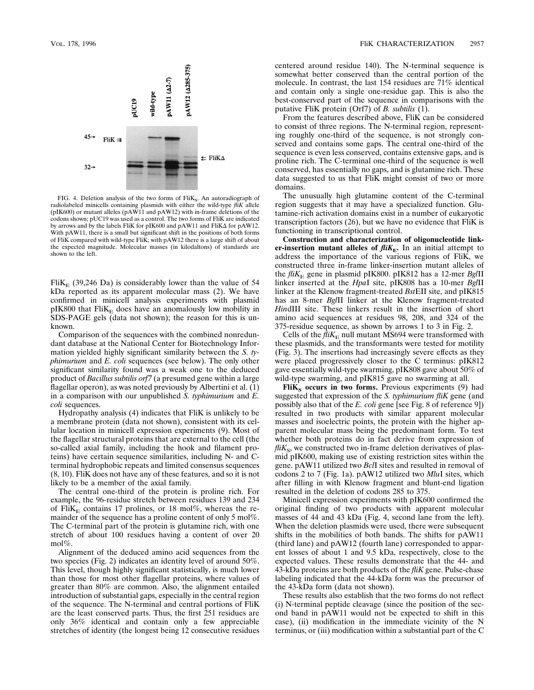

FIG. 4. Deletion analysis of the two forms of  $FliK_S$ . An autoradiograph of radiolabeled minicells containing plasmids with either the wild-type  $f\ddot{i}K$  allele (pIK600) or mutant alleles (pAW11 and pAW12) with in-frame deletions of the codons shown; pUC19 was used as a control. The two forms of FliK are indicated by arrows and by the labels FliK for pIK600 and pAW11 and FliK $\Delta$  for pAW12. With pAW11, there is a small but significant shift in the positions of both forms of FliK compared with wild-type FliK; with pAW12 there is a large shift of about the expected magnitude. Molecular masses (in kilodaltons) of standards are shown to the left.

Fli $K_E$  (39,246 Da) is considerably lower than the value of 54 kDa reported as its apparent molecular mass (2). We have confirmed in minicell analysis experiments with plasmid  $p$ IK800 that Fli $K<sub>E</sub>$  does have an anomalously low mobility in SDS-PAGE gels (data not shown); the reason for this is unknown.

Comparison of the sequences with the combined nonredundant database at the National Center for Biotechnology Information yielded highly significant similarity between the *S. typhimurium* and *E. coli* sequences (see below). The only other significant similarity found was a weak one to the deduced product of *Bacillus subtilis orf7* (a presumed gene within a large flagellar operon), as was noted previously by Albertini et al. (1) in a comparison with our unpublished *S. typhimurium* and *E. coli* sequences.

Hydropathy analysis (4) indicates that FliK is unlikely to be a membrane protein (data not shown), consistent with its cellular location in minicell expression experiments (9). Most of the flagellar structural proteins that are external to the cell (the so-called axial family, including the hook and filament proteins) have certain sequence similarities, including N- and Cterminal hydrophobic repeats and limited consensus sequences (8, 10). FliK does not have any of these features, and so it is not likely to be a member of the axial family.

The central one-third of the protein is proline rich. For example, the 96-residue stretch between residues 139 and 234 of Fli $K_E$  contains 17 prolines, or 18 mol%, whereas the remainder of the sequence has a proline content of only 5 mol%. The C-terminal part of the protein is glutamine rich, with one stretch of about 100 residues having a content of over 20 mol%.

Alignment of the deduced amino acid sequences from the two species (Fig. 2) indicates an identity level of around 50%. This level, though highly significant statistically, is much lower than those for most other flagellar proteins, where values of greater than 80% are common. Also, the alignment entailed introduction of substantial gaps, especially in the central region of the sequence. The N-terminal and central portions of FliK are the least conserved parts. Thus, the first 251 residues are only 36% identical and contain only a few appreciable stretches of identity (the longest being 12 consecutive residues

centered around residue 140). The N-terminal sequence is somewhat better conserved than the central portion of the molecule. In contrast, the last 154 residues are 71% identical and contain only a single one-residue gap. This is also the best-conserved part of the sequence in comparisons with the putative FliK protein (Orf7) of *B. subtilis* (1).

From the features described above, FliK can be considered to consist of three regions. The N-terminal region, representing roughly one-third of the sequence, is not strongly conserved and contains some gaps. The central one-third of the sequence is even less conserved, contains extensive gaps, and is proline rich. The C-terminal one-third of the sequence is well conserved, has essentially no gaps, and is glutamine rich. These data suggested to us that FliK might consist of two or more domains.

The unusually high glutamine content of the C-terminal region suggests that it may have a specialized function. Glutamine-rich activation domains exist in a number of eukaryotic transcription factors (26), but we have no evidence that FliK is functioning in transcriptional control.

**Construction and characterization of oligonucleotide linker-insertion mutant alleles of**  $fliK_E$ **. In an initial attempt to** address the importance of the various regions of FliK, we constructed three in-frame linker-insertion mutant alleles of the  $fliK<sub>E</sub>$  gene in plasmid pIK800. pIK812 has a 12-mer *BglII* linker inserted at the *Hpa*I site, pIK808 has a 10-mer *Bgl*II linker at the Klenow fragment-treated *Bst*EII site, and pIK815 has an 8-mer *Bgl*II linker at the Klenow fragment-treated *Hin*dIII site. These linkers result in the insertion of short amino acid sequences at residues 98, 208, and 324 of the 375-residue sequence, as shown by arrows 1 to 3 in Fig. 2.

Cells of the  $fliK_E$  null mutant MS694 were transformed with these plasmids, and the transformants were tested for motility (Fig. 3). The insertions had increasingly severe effects as they were placed progressively closer to the C terminus: pIK812 gave essentially wild-type swarming, pIK808 gave about 50% of wild-type swarming, and pIK815 gave no swarming at all.

 $FliK<sub>S</sub>$  **occurs in two forms.** Previous experiments (9) had suggested that expression of the *S. typhimurium fliK* gene (and possibly also that of the *E. coli* gene [see Fig. 8 of reference 9]) resulted in two products with similar apparent molecular masses and isoelectric points, the protein with the higher apparent molecular mass being the predominant form. To test whether both proteins do in fact derive from expression of  $f\ddot{i}K_s$ , we constructed two in-frame deletion derivatives of plasmid pIK600, making use of existing restriction sites within the gene. pAW11 utilized two *Bcl*I sites and resulted in removal of codons 2 to 7 (Fig. 1a). pAW12 utilized two *Mlu*I sites, which after filling in with Klenow fragment and blunt-end ligation resulted in the deletion of codons 285 to 375.

Minicell expression experiments with pIK600 confirmed the original finding of two products with apparent molecular masses of 44 and 43 kDa (Fig. 4, second lane from the left). When the deletion plasmids were used, there were subsequent shifts in the mobilities of both bands. The shifts for pAW11 (third lane) and pAW12 (fourth lane) corresponded to apparent losses of about 1 and 9.5 kDa, respectively, close to the expected values. These results demonstrate that the 44- and 43-kDa proteins are both products of the *fliK* gene. Pulse-chase labeling indicated that the 44-kDa form was the precursor of the 43-kDa form (data not shown).

These results also establish that the two forms do not reflect (i) N-terminal peptide cleavage (since the position of the second band in pAW11 would not be expected to shift in this case), (ii) modification in the immediate vicinity of the N terminus, or (iii) modification within a substantial part of the C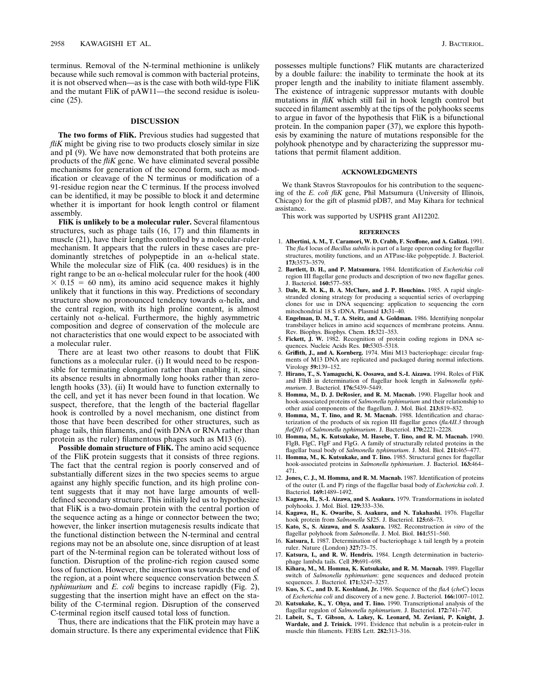terminus. Removal of the N-terminal methionine is unlikely because while such removal is common with bacterial proteins, it is not observed when—as is the case with both wild-type FliK and the mutant FliK of pAW11—the second residue is isoleucine (25).

#### **DISCUSSION**

**The two forms of FliK.** Previous studies had suggested that *fliK* might be giving rise to two products closely similar in size and pI (9). We have now demonstrated that both proteins are products of the *fliK* gene. We have eliminated several possible mechanisms for generation of the second form, such as modification or cleavage of the N terminus or modification of a 91-residue region near the C terminus. If the process involved can be identified, it may be possible to block it and determine whether it is important for hook length control or filament assembly.

**FliK is unlikely to be a molecular ruler.** Several filamentous structures, such as phage tails (16, 17) and thin filaments in muscle (21), have their lengths controlled by a molecular-ruler mechanism. It appears that the rulers in these cases are predominantly stretches of polypeptide in an  $\alpha$ -helical state. While the molecular size of FliK (ca. 400 residues) is in the right range to be an  $\alpha$ -helical molecular ruler for the hook (400  $\times$  0.15 = 60 nm), its amino acid sequence makes it highly unlikely that it functions in this way. Predictions of secondary structure show no pronounced tendency towards  $\alpha$ -helix, and the central region, with its high proline content, is almost certainly not  $\alpha$ -helical. Furthermore, the highly asymmetric composition and degree of conservation of the molecule are not characteristics that one would expect to be associated with a molecular ruler.

There are at least two other reasons to doubt that FliK functions as a molecular ruler. (i) It would need to be responsible for terminating elongation rather than enabling it, since its absence results in abnormally long hooks rather than zerolength hooks (33). (ii) It would have to function externally to the cell, and yet it has never been found in that location. We suspect, therefore, that the length of the bacterial flagellar hook is controlled by a novel mechanism, one distinct from those that have been described for other structures, such as phage tails, thin filaments, and (with DNA or RNA rather than protein as the ruler) filamentous phages such as M13 (6).

**Possible domain structure of FliK.** The amino acid sequence of the FliK protein suggests that it consists of three regions. The fact that the central region is poorly conserved and of substantially different sizes in the two species seems to argue against any highly specific function, and its high proline content suggests that it may not have large amounts of welldefined secondary structure. This initially led us to hypothesize that FliK is a two-domain protein with the central portion of the sequence acting as a hinge or connector between the two; however, the linker insertion mutagenesis results indicate that the functional distinction between the N-terminal and central regions may not be an absolute one, since disruption of at least part of the N-terminal region can be tolerated without loss of function. Disruption of the proline-rich region caused some loss of function. However, the insertion was towards the end of the region, at a point where sequence conservation between *S. typhimurium* and *E. coli* begins to increase rapidly (Fig. 2), suggesting that the insertion might have an effect on the stability of the C-terminal region. Disruption of the conserved C-terminal region itself caused total loss of function.

Thus, there are indications that the FliK protein may have a domain structure. Is there any experimental evidence that FliK

possesses multiple functions? FliK mutants are characterized by a double failure: the inability to terminate the hook at its proper length and the inability to initiate filament assembly. The existence of intragenic suppressor mutants with double mutations in *fliK* which still fail in hook length control but succeed in filament assembly at the tips of the polyhooks seems to argue in favor of the hypothesis that FliK is a bifunctional protein. In the companion paper (37), we explore this hypothesis by examining the nature of mutations responsible for the polyhook phenotype and by characterizing the suppressor mutations that permit filament addition.

#### **ACKNOWLEDGMENTS**

We thank Stavros Stavropoulos for his contribution to the sequencing of the *E. coli fliK* gene, Phil Matsumura (University of Illinois, Chicago) for the gift of plasmid pDB7, and May Kihara for technical assistance.

This work was supported by USPHS grant AI12202.

#### **REFERENCES**

- 1. **Albertini, A. M., T. Caramori, W. D. Crabb, F. Scoffone, and A. Galizzi.** 1991. The *flaA* locus of *Bacillus subtilis* is part of a large operon coding for flagellar structures, motility functions, and an ATPase-like polypeptide. J. Bacteriol. **173:**3573–3579.
- 2. **Bartlett, D. H., and P. Matsumura.** 1984. Identification of *Escherichia coli* region III flagellar gene products and description of two new flagellar genes. J. Bacteriol. **160:**577–585.
- 3. **Dale, R. M. K., B. A. McClure, and J. P. Houchins.** 1985. A rapid singlestranded cloning strategy for producing a sequential series of overlapping clones for use in DNA sequencing: application to sequencing the corn mitochondrial 18 S rDNA. Plasmid **13:**31–40.
- 4. **Engelman, D. M., T. A. Steitz, and A. Goldman.** 1986. Identifying nonpolar transbilayer helices in amino acid sequences of membrane proteins. Annu. Rev. Biophys. Biophys. Chem. **15:**321–353.
- 5. **Fickett, J. W.** 1982. Recognition of protein coding regions in DNA sequences. Nucleic Acids Res. **10:**5303–5318.
- 6. **Griffith, J., and A. Kornberg.** 1974. Mini M13 bacteriophage: circular fragments of M13 DNA are replicated and packaged during normal infections. Virology **59:**139–152.
- 7. **Hirano, T., S. Yamaguchi, K. Oosawa, and S.-I. Aizawa.** 1994. Roles of FliK and FlhB in determination of flagellar hook length in *Salmonella typhimurium*. J. Bacteriol. **176:**5439–5449.
- 8. **Homma, M., D. J. DeRosier, and R. M. Macnab.** 1990. Flagellar hook and hook-associated proteins of *Salmonella typhimurium* and their relationship to other axial components of the flagellum. J. Mol. Biol. **213:**819–832.
- 9. **Homma, M., T. Iino, and R. M. Macnab.** 1988. Identification and characterization of the products of six region III flagellar genes (*flaAII.3* through *flaQII*) of *Salmonella typhimurium*. J. Bacteriol. **170:**2221–2228.
- 10. **Homma, M., K. Kutsukake, M. Hasebe, T. Iino, and R. M. Macnab.** 1990. FlgB, FlgC, FlgF and FlgG. A family of structurally related proteins in the flagellar basal body of *Salmonella typhimurium*. J. Mol. Biol. **211:**465–477.
- 11. **Homma, M., K. Kutsukake, and T. Iino.** 1985. Structural genes for flagellar hook-associated proteins in *Salmonella typhimurium*. J. Bacteriol. **163:**464– 471.
- 12. **Jones, C. J., M. Homma, and R. M. Macnab.** 1987. Identification of proteins of the outer (L and P) rings of the flagellar basal body of *Escherichia coli*. J. Bacteriol. **169:**1489–1492.
- 13. **Kagawa, H., S.-I. Aizawa, and S. Asakura.** 1979. Transformations in isolated polyhooks. J. Mol. Biol. **129:**333–336.
- 14. **Kagawa, H., K. Owaribe, S. Asakura, and N. Takahashi.** 1976. Flagellar hook protein from *Salmonella* SJ25. J. Bacteriol. **125:**68–73.
- 15. **Kato, S., S. Aizawa, and S. Asakura.** 1982. Reconstruction *in vitro* of the flagellar polyhook from *Salmonella*. J. Mol. Biol. **161:**551–560.
- 16. **Katsura, I.** 1987. Determination of bacteriophage  $\lambda$  tail length by a protein ruler. Nature (London) **327:**73–75.
- 17. **Katsura, I., and R. W. Hendrix.** 1984. Length determination in bacteriophage lambda tails. Cell **39:**691–698.
- 18. **Kihara, M., M. Homma, K. Kutsukake, and R. M. Macnab.** 1989. Flagellar switch of *Salmonella typhimurium*: gene sequences and deduced protein sequences. J. Bacteriol. **171:**3247–3257.
- 19. **Kuo, S. C., and D. E. Koshland, Jr.** 1986. Sequence of the *flaA* (*cheC*) locus of *Escherichia coli* and discovery of a new gene. J. Bacteriol. **166:**1007–1012. 20. **Kutsukake, K., Y. Ohya, and T. Iino.** 1990. Transcriptional analysis of the
- flagellar regulon of *Salmonella typhimurium*. J. Bacteriol. **172:**741–747.
- 21. **Labeit, S., T. Gibson, A. Lakey, K. Leonard, M. Zeviani, P. Knight, J. Wardale, and J. Trinick.** 1991. Evidence that nebulin is a protein-ruler in muscle thin filaments. FEBS Lett. **282:**313–316.